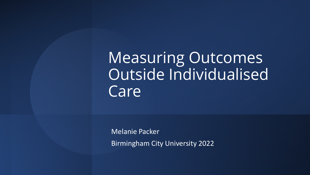Measuring Outcomes Outside Individualised Care

Melanie Packer Birmingham City University 2022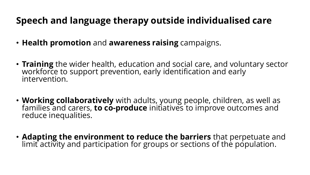#### **Speech and language therapy outside individualised care**

- **Health promotion** and **awareness raising** campaigns.
- **Training** the wider health, education and social care, and voluntary sector workforce to support prevention, early identification and early intervention.
- **Working collaboratively** with adults, young people, children, as well as families and carers, **to co-produce** initiatives to improve outcomes and reduce inequalities.
- **Adapting the environment to reduce the barriers** that perpetuate and limit activity and participation for groups or sections of the population.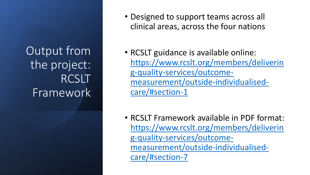Output from the project: RCSLT Framework

- Designed to support teams across all clinical areas, across the four nations
- RCSLT guidance is available online: [https://www.rcslt.org/members/deliverin](https://www.rcslt.org/members/delivering-quality-services/outcome-measurement/outside-individualised-care/#section-1) g-quality-services/outcomemeasurement/outside-individualisedcare/#section-1
- RCSLT Framework available in PDF format: [https://www.rcslt.org/members/deliverin](https://www.rcslt.org/members/delivering-quality-services/outcome-measurement/outside-individualised-care/#section-7) g-quality-services/outcomemeasurement/outside-individualisedcare/#section-7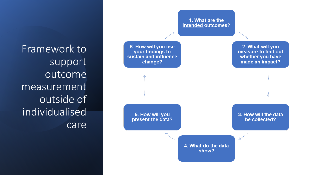Framework to support outcome measurement outside of individualised care

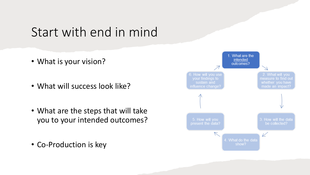#### Start with end in mind

- What is your vision?
- What will success look like?
- What are the steps that will take you to your intended outcomes?
- Co-Production is key

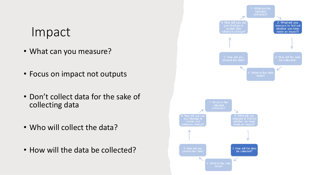#### Impact

- What can you measure?
- Focus on impact not outputs
- Don't collect data for the sake of collecting data
- Who will collect the data?
- How will the data be collected?

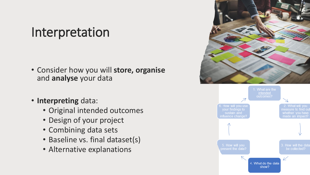### Interpretation

- Consider how you will **store, organise**  and **analyse** your data
- **Interpreting** data:
	- Original intended outcomes
	- Design of your project
	- Combining data sets
	- Baseline vs. final dataset(s)
	- Alternative explanations

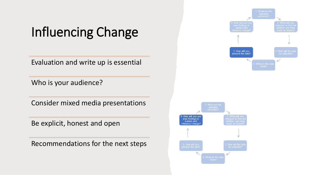## Influencing Change

Evaluation and write up is essential

Who is your audience?

Consider mixed media presentations

Be explicit, honest and open

Recommendations for the next steps



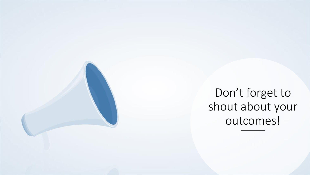